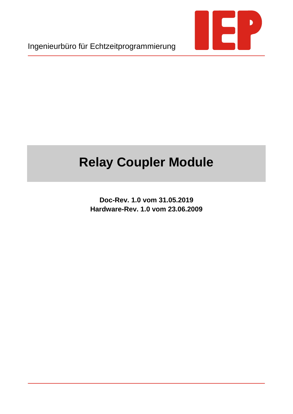

Ingenieurbüro für Echtzeitprogrammierung

# **Relay Coupler Module**

**Doc-Rev. 1.0 vom 31.05.2019 Hardware-Rev. 1.0 vom 23.06.2009**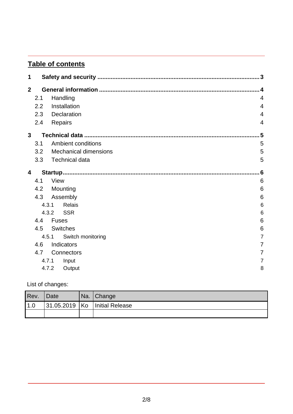# **Table of contents**

| 1              |       |                              | 3               |
|----------------|-------|------------------------------|-----------------|
| $\mathbf{2}$   |       |                              | 4               |
|                | 2.1   | Handling                     | $\overline{4}$  |
|                | 2.2   | Installation                 | 4               |
|                | 2.3   | Declaration                  | 4               |
|                | 2.4   | Repairs                      | $\overline{4}$  |
| 3 <sup>1</sup> |       |                              | 5               |
|                | 3.1   | <b>Ambient conditions</b>    | 5               |
|                | 3.2   | <b>Mechanical dimensions</b> | 5               |
|                | 3.3   | <b>Technical data</b>        | 5               |
| 4              |       |                              | 6               |
|                | 4.1   | <b>View</b>                  | $6\phantom{1}6$ |
|                | 4.2   | Mounting                     | 6               |
|                | 4.3   | Assembly                     | 6               |
|                | 4.3.1 | Relais                       | 6               |
|                | 4.3.2 | <b>SSR</b>                   | 6               |
|                | 4.4   | <b>Fuses</b>                 | 6               |
|                | 4.5   | <b>Switches</b>              | 6               |
|                | 4.5.1 | Switch monitoring            | $\overline{7}$  |
|                | 4.6   | Indicators                   | 7               |
|                | 4.7   | Connectors                   | 7               |
|                | 4.7.1 | Input                        | 7               |
|                | 4.7.2 | Output                       | 8               |

List of changes:

| Rev.        | Date | Na. Change                          |
|-------------|------|-------------------------------------|
| $\vert$ 1.0 |      | $ 31.05.2019 $ Ko   Initial Release |
|             |      |                                     |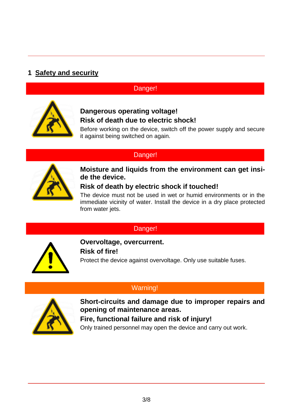# **1 Safety and security**

# Danger!



# **Dangerous operating voltage! Risk of death due to electric shock!**

Before working on the device, switch off the power supply and secure it against being switched on again.

## Danger!



## **Moisture and liquids from the environment can get inside the device.**

## **Risk of death by electric shock if touched!**

The device must not be used in wet or humid environments or in the immediate vicinity of water. Install the device in a dry place protected from water jets.

# Danger!



**Overvoltage, overcurrent. Risk of fire!** Protect the device against overvoltage. Only use suitable fuses.

# Warning!



**Short-circuits and damage due to improper repairs and opening of maintenance areas.**

**Fire, functional failure and risk of injury!** Only trained personnel may open the device and carry out work.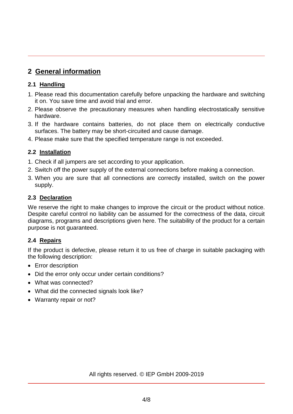# **2 General information**

### **2.1 Handling**

- 1. Please read this documentation carefully before unpacking the hardware and switching it on. You save time and avoid trial and error.
- 2. Please observe the precautionary measures when handling electrostatically sensitive hardware.
- 3. If the hardware contains batteries, do not place them on electrically conductive surfaces. The battery may be short-circuited and cause damage.
- 4. Please make sure that the specified temperature range is not exceeded.

## **2.2 Installation**

- 1. Check if all jumpers are set according to your application.
- 2. Switch off the power supply of the external connections before making a connection.
- 3. When you are sure that all connections are correctly installed, switch on the power supply.

#### **2.3 Declaration**

We reserve the right to make changes to improve the circuit or the product without notice. Despite careful control no liability can be assumed for the correctness of the data, circuit diagrams, programs and descriptions given here. The suitability of the product for a certain purpose is not guaranteed.

## **2.4 Repairs**

If the product is defective, please return it to us free of charge in suitable packaging with the following description:

- Error description
- Did the error only occur under certain conditions?
- What was connected?
- What did the connected signals look like?
- Warranty repair or not?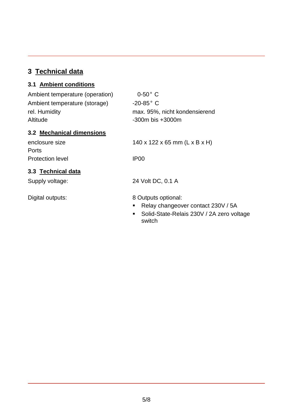# **3 Technical data**

# **3.1 Ambient conditions**

| Ambient temperature (operation) | $0-50$ °C                                           |  |  |
|---------------------------------|-----------------------------------------------------|--|--|
| Ambient temperature (storage)   | $-20-85$ °C                                         |  |  |
| rel. Humidity                   | max. 95%, nicht kondensierend                       |  |  |
| Altitude                        | $-300m$ bis $+3000m$                                |  |  |
| 3.2 Mechanical dimensions       |                                                     |  |  |
| enclosure size                  | 140 x 122 x 65 mm (L x B x H)                       |  |  |
| Ports                           |                                                     |  |  |
| <b>Protection level</b>         | IP <sub>00</sub>                                    |  |  |
| 3.3 Technical data              |                                                     |  |  |
| Supply voltage:                 | 24 Volt DC, 0.1 A                                   |  |  |
|                                 |                                                     |  |  |
| Digital outputs:                | 8 Outputs optional:                                 |  |  |
|                                 | Relay changeover contact 230V / 5A<br>п             |  |  |
|                                 | Solid-State-Relais 230V / 2A zero voltage<br>switch |  |  |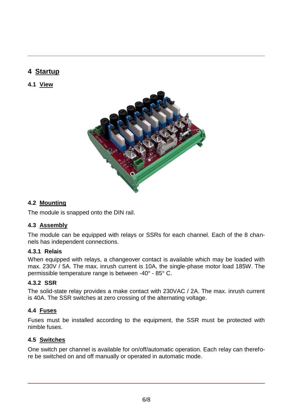# **4 Startup**

## **4.1 View**



#### **4.2 Mounting**

The module is snapped onto the DIN rail.

#### **4.3 Assembly**

The module can be equipped with relays or SSRs for each channel. Each of the 8 channels has independent connections.

#### **4.3.1 Relais**

When equipped with relays, a changeover contact is available which may be loaded with max. 230V / 5A. The max. inrush current is 10A, the single-phase motor load 185W. The permissible temperature range is between -40° - 85° C.

#### **4.3.2 SSR**

The solid-state relay provides a make contact with 230VAC / 2A. The max. inrush current is 40A. The SSR switches at zero crossing of the alternating voltage.

## **4.4 Fuses**

Fuses must be installed according to the equipment, the SSR must be protected with nimble fuses.

## **4.5 Switches**

One switch per channel is available for on/off/automatic operation. Each relay can therefore be switched on and off manually or operated in automatic mode.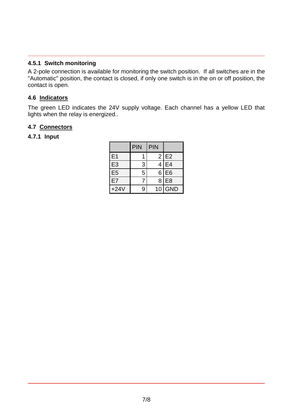#### **4.5.1 Switch monitoring**

A 2-pole connection is available for monitoring the switch position. If all switches are in the "Automatic" position, the contact is closed, if only one switch is in the on or off position, the contact is open.

### **4.6 Indicators**

The green LED indicates the 24V supply voltage. Each channel has a yellow LED that lights when the relay is energized..

#### **4.7 Connectors**

#### **4.7.1 Input**

|                | <b>PIN</b>     | <b>PIN</b> |                |
|----------------|----------------|------------|----------------|
| E <sub>1</sub> |                | 2          | E <sub>2</sub> |
| E <sub>3</sub> | 3              | 4          | E4             |
| E <sub>5</sub> | $\overline{5}$ | 6          | E <sub>6</sub> |
| E7             |                | 8          | E <sub>8</sub> |
| $+24V$         | 9              | 10         | <b>GND</b>     |